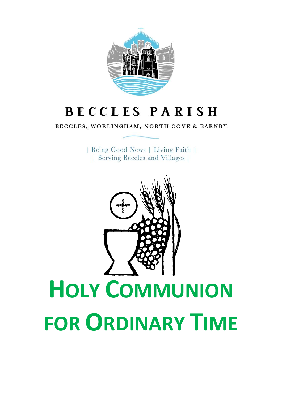

# **BECCLES PARISH**

BECCLES, WORLINGHAM, NORTH COVE & BARNBY

| Being Good News | Living Faith | | Serving Beccles and Villages |

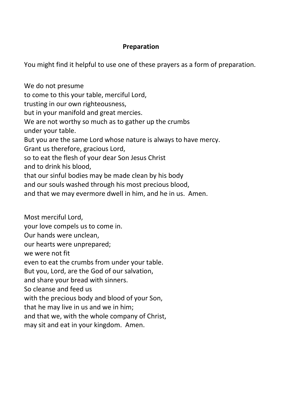#### **Preparation**

You might find it helpful to use one of these prayers as a form of preparation.

We do not presume to come to this your table, merciful Lord, trusting in our own righteousness, but in your manifold and great mercies. We are not worthy so much as to gather up the crumbs under your table. But you are the same Lord whose nature is always to have mercy. Grant us therefore, gracious Lord, so to eat the flesh of your dear Son Jesus Christ and to drink his blood, that our sinful bodies may be made clean by his body and our souls washed through his most precious blood, and that we may evermore dwell in him, and he in us. Amen. Most merciful Lord, your love compels us to come in. Our hands were unclean, our hearts were unprepared; we were not fit even to eat the crumbs from under your table. But you, Lord, are the God of our salvation, and share your bread with sinners. So cleanse and feed us with the precious body and blood of your Son. that he may live in us and we in him; and that we, with the whole company of Christ, may sit and eat in your kingdom. Amen.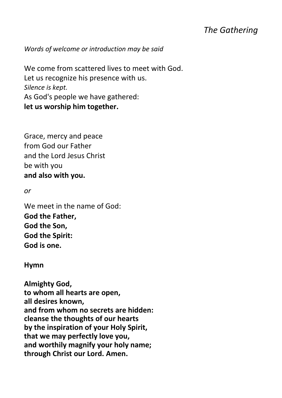# *The Gathering*

*Words of welcome or introduction may be said*

We come from scattered lives to meet with God. Let us recognize his presence with us. *Silence is kept.* As God's people we have gathered: **let us worship him together.**

Grace, mercy and peace from God our Father and the Lord Jesus Christ be with you **and also with you.**

*or*

We meet in the name of God: **God the Father, God the Son, God the Spirit: God is one.**

#### **Hymn**

**Almighty God, to whom all hearts are open, all desires known, and from whom no secrets are hidden: cleanse the thoughts of our hearts by the inspiration of your Holy Spirit, that we may perfectly love you, and worthily magnify your holy name; through Christ our Lord. Amen.**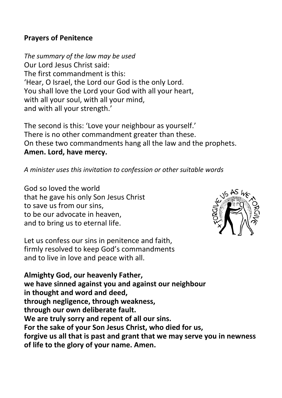#### **Prayers of Penitence**

*The summary of the law may be used* Our Lord Jesus Christ said: The first commandment is this: 'Hear, O Israel, the Lord our God is the only Lord. You shall love the Lord your God with all your heart, with all your soul, with all your mind, and with all your strength.'

The second is this: 'Love your neighbour as yourself.' There is no other commandment greater than these. On these two commandments hang all the law and the prophets. **Amen. Lord, have mercy.**

#### *A minister uses this invitation to confession or other suitable words*

God so loved the world that he gave his only Son Jesus Christ to save us from our sins, to be our advocate in heaven, and to bring us to eternal life.



Let us confess our sins in penitence and faith, firmly resolved to keep God's commandments and to live in love and peace with all.

**Almighty God, our heavenly Father, we have sinned against you and against our neighbour in thought and word and deed, through negligence, through weakness, through our own deliberate fault. We are truly sorry and repent of all our sins. For the sake of your Son Jesus Christ, who died for us, forgive us all that is past and grant that we may serve you in newness of life to the glory of your name. Amen.**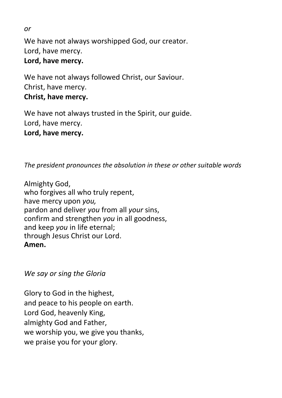We have not always worshipped God, our creator. Lord, have mercy. **Lord, have mercy.**

We have not always followed Christ, our Saviour. Christ, have mercy. **Christ, have mercy.**

We have not always trusted in the Spirit, our guide. Lord, have mercy. **Lord, have mercy.**

*The president pronounces the absolution in these or other suitable words*

Almighty God, who forgives all who truly repent, have mercy upon *you,*  pardon and deliver *you* from all *your* sins, confirm and strengthen *you* in all goodness, and keep *you* in life eternal; through Jesus Christ our Lord. **Amen.**

*We say or sing the Gloria*

Glory to God in the highest, and peace to his people on earth. Lord God, heavenly King, almighty God and Father, we worship you, we give you thanks, we praise you for your glory.

*or*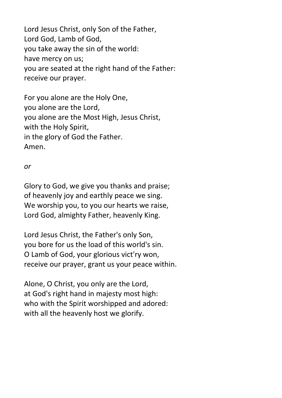Lord Jesus Christ, only Son of the Father, Lord God, Lamb of God, you take away the sin of the world: have mercy on us; you are seated at the right hand of the Father: receive our prayer.

For you alone are the Holy One, you alone are the Lord, you alone are the Most High, Jesus Christ, with the Holy Spirit, in the glory of God the Father. Amen.

#### *or*

Glory to God, we give you thanks and praise; of heavenly joy and earthly peace we sing. We worship you, to you our hearts we raise, Lord God, almighty Father, heavenly King.

Lord Jesus Christ, the Father's only Son, you bore for us the load of this world's sin. O Lamb of God, your glorious vict'ry won, receive our prayer, grant us your peace within.

Alone, O Christ, you only are the Lord, at God's right hand in majesty most high: who with the Spirit worshipped and adored: with all the heavenly host we glorify.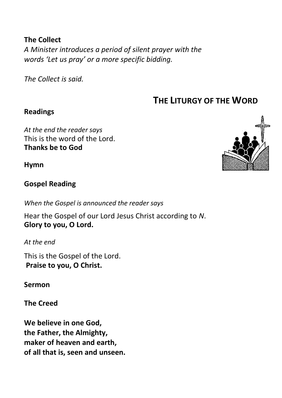## **The Collect**

*A Minister introduces a period of silent prayer with the words 'Let us pray' or a more specific bidding.*

*The Collect is said.*

# **THE LITURGY OF THE WORD**

## **Readings**

*At the end the reader says* This is the word of the Lord. **Thanks be to God**

**Hymn**

## **Gospel Reading**

*When the Gospel is announced the reader says*

Hear the Gospel of our Lord Jesus Christ according to *N*. **Glory to you, O Lord.**

*At the end*

This is the Gospel of the Lord. **Praise to you, O Christ.** 

**Sermon**

**The Creed**

**We believe in one God, the Father, the Almighty, maker of heaven and earth, of all that is, seen and unseen.**

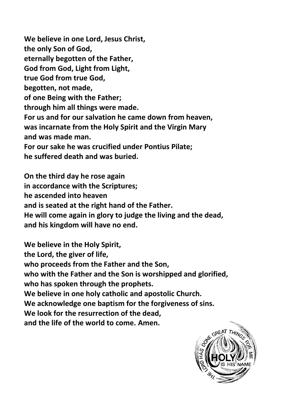**We believe in one Lord, Jesus Christ, the only Son of God, eternally begotten of the Father, God from God, Light from Light, true God from true God, begotten, not made, of one Being with the Father; through him all things were made. For us and for our salvation he came down from heaven, was incarnate from the Holy Spirit and the Virgin Mary and was made man. For our sake he was crucified under Pontius Pilate; he suffered death and was buried.**

**On the third day he rose again in accordance with the Scriptures; he ascended into heaven and is seated at the right hand of the Father. He will come again in glory to judge the living and the dead, and his kingdom will have no end.**

**We believe in the Holy Spirit, the Lord, the giver of life, who proceeds from the Father and the Son, who with the Father and the Son is worshipped and glorified, who has spoken through the prophets. We believe in one holy catholic and apostolic Church. We acknowledge one baptism for the forgiveness of sins. We look for the resurrection of the dead, and the life of the world to come. Amen.**

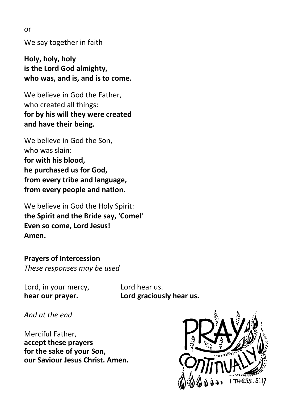or

We say together in faith

**Holy, holy, holy is the Lord God almighty, who was, and is, and is to come.**

We believe in God the Father, who created all things: **for by his will they were created and have their being.**

We believe in God the Son, who was slain: **for with his blood, he purchased us for God, from every tribe and language, from every people and nation.**

We believe in God the Holy Spirit: **the Spirit and the Bride say, 'Come!' Even so come, Lord Jesus! Amen.**

**Prayers of Intercession** *These responses may be used*

Lord, in your mercy, Lord hear us.

**hear our prayer. Lord graciously hear us.**

*And at the end*

Merciful Father, **accept these prayers for the sake of your Son, our Saviour Jesus Christ. Amen.**

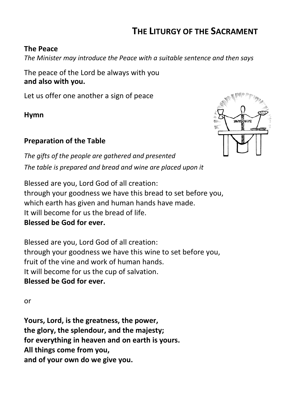# **THE LITURGY OF THE SACRAMENT**

#### **The Peace**

*The Minister may introduce the Peace with a suitable sentence and then says*

The peace of the Lord be always with you **and also with you.**

Let us offer one another a sign of peace

**Hymn**

## **Preparation of the Table**



*The gifts of the people are gathered and presented The table is prepared and bread and wine are placed upon it*

Blessed are you, Lord God of all creation: through your goodness we have this bread to set before you, which earth has given and human hands have made. It will become for us the bread of life. **Blessed be God for ever.**

Blessed are you, Lord God of all creation: through your goodness we have this wine to set before you, fruit of the vine and work of human hands. It will become for us the cup of salvation. **Blessed be God for ever.**

or

**Yours, Lord, is the greatness, the power, the glory, the splendour, and the majesty; for everything in heaven and on earth is yours. All things come from you, and of your own do we give you.**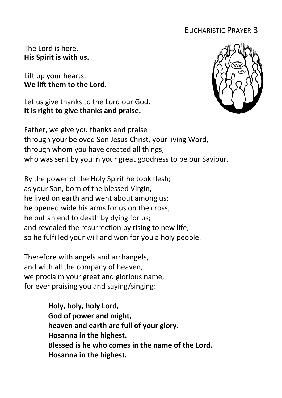# EUCHARISTIC PRAYER B

The Lord is here. **His Spirit is with us.**

Lift up your hearts. **We lift them to the Lord.**

Let us give thanks to the Lord our God. **It is right to give thanks and praise.**



Father, we give you thanks and praise through your beloved Son Jesus Christ, your living Word, through whom you have created all things; who was sent by you in your great goodness to be our Saviour.

By the power of the Holy Spirit he took flesh; as your Son, born of the blessed Virgin, he lived on earth and went about among us; he opened wide his arms for us on the cross; he put an end to death by dying for us; and revealed the resurrection by rising to new life; so he fulfilled your will and won for you a holy people.

Therefore with angels and archangels, and with all the company of heaven, we proclaim your great and glorious name, for ever praising you and saying/singing:

> **Holy, holy, holy Lord, God of power and might, heaven and earth are full of your glory. Hosanna in the highest. Blessed is he who comes in the name of the Lord. Hosanna in the highest.**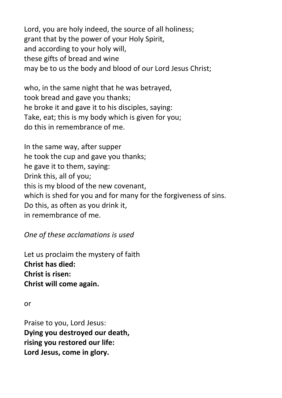Lord, you are holy indeed, the source of all holiness; grant that by the power of your Holy Spirit, and according to your holy will, these gifts of bread and wine may be to us the body and blood of our Lord Jesus Christ;

who, in the same night that he was betrayed, took bread and gave you thanks; he broke it and gave it to his disciples, saying: Take, eat; this is my body which is given for you; do this in remembrance of me.

In the same way, after supper he took the cup and gave you thanks; he gave it to them, saying: Drink this, all of you; this is my blood of the new covenant, which is shed for you and for many for the forgiveness of sins. Do this, as often as you drink it, in remembrance of me.

*One of these acclamations is used*

Let us proclaim the mystery of faith **Christ has died: Christ is risen: Christ will come again.**

or

Praise to you, Lord Jesus: **Dying you destroyed our death, rising you restored our life: Lord Jesus, come in glory.**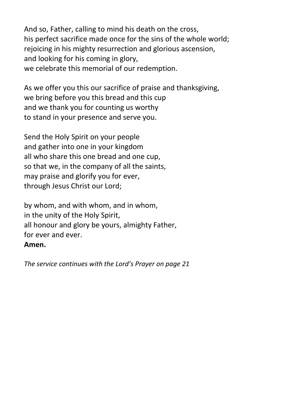And so, Father, calling to mind his death on the cross, his perfect sacrifice made once for the sins of the whole world; rejoicing in his mighty resurrection and glorious ascension. and looking for his coming in glory, we celebrate this memorial of our redemption.

As we offer you this our sacrifice of praise and thanksgiving, we bring before you this bread and this cup and we thank you for counting us worthy to stand in your presence and serve you.

Send the Holy Spirit on your people and gather into one in your kingdom all who share this one bread and one cup, so that we, in the company of all the saints, may praise and glorify you for ever, through Jesus Christ our Lord;

by whom, and with whom, and in whom, in the unity of the Holy Spirit, all honour and glory be yours, almighty Father, for ever and ever. **Amen.**

*The service continues with the Lord's Prayer on page 21*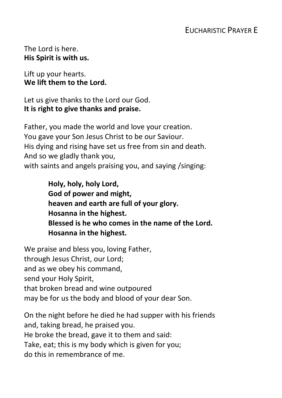The Lord is here. **His Spirit is with us.**

Lift up your hearts. **We lift them to the Lord.**

Let us give thanks to the Lord our God. **It is right to give thanks and praise.**

Father, you made the world and love your creation. You gave your Son Jesus Christ to be our Saviour. His dying and rising have set us free from sin and death. And so we gladly thank you, with saints and angels praising you, and saying /singing:

> **Holy, holy, holy Lord, God of power and might, heaven and earth are full of your glory. Hosanna in the highest. Blessed is he who comes in the name of the Lord. Hosanna in the highest.**

We praise and bless you, loving Father, through Jesus Christ, our Lord; and as we obey his command, send your Holy Spirit, that broken bread and wine outpoured may be for us the body and blood of your dear Son.

On the night before he died he had supper with his friends and, taking bread, he praised you. He broke the bread, gave it to them and said: Take, eat; this is my body which is given for you; do this in remembrance of me.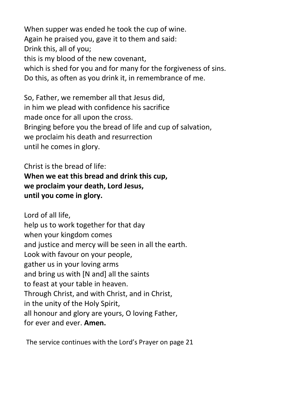When supper was ended he took the cup of wine. Again he praised you, gave it to them and said: Drink this, all of you; this is my blood of the new covenant, which is shed for you and for many for the forgiveness of sins. Do this, as often as you drink it, in remembrance of me.

So, Father, we remember all that Jesus did, in him we plead with confidence his sacrifice made once for all upon the cross. Bringing before you the bread of life and cup of salvation, we proclaim his death and resurrection until he comes in glory.

Christ is the bread of life: **When we eat this bread and drink this cup, we proclaim your death, Lord Jesus, until you come in glory.**

Lord of all life, help us to work together for that day when your kingdom comes and justice and mercy will be seen in all the earth. Look with favour on your people, gather us in your loving arms and bring us with [N and] all the saints to feast at your table in heaven. Through Christ, and with Christ, and in Christ, in the unity of the Holy Spirit, all honour and glory are yours, O loving Father, for ever and ever. **Amen.**

The service continues with the Lord's Prayer on page 21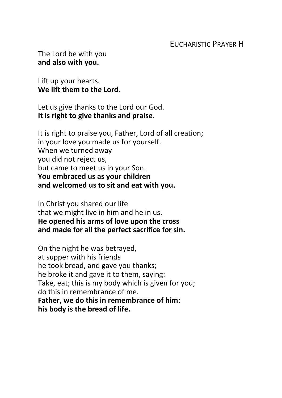## EUCHARISTIC PRAYER H

The Lord be with you **and also with you.**

Lift up your hearts. **We lift them to the Lord.**

Let us give thanks to the Lord our God. **It is right to give thanks and praise.**

It is right to praise you, Father, Lord of all creation; in your love you made us for yourself. When we turned away you did not reject us, but came to meet us in your Son. **You embraced us as your children and welcomed us to sit and eat with you.**

In Christ you shared our life that we might live in him and he in us. **He opened his arms of love upon the cross and made for all the perfect sacrifice for sin.**

On the night he was betrayed, at supper with his friends he took bread, and gave you thanks; he broke it and gave it to them, saying: Take, eat; this is my body which is given for you; do this in remembrance of me. **Father, we do this in remembrance of him: his body is the bread of life.**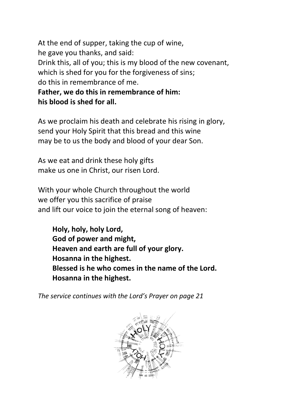At the end of supper, taking the cup of wine, he gave you thanks, and said: Drink this, all of you; this is my blood of the new covenant, which is shed for you for the forgiveness of sins; do this in remembrance of me. **Father, we do this in remembrance of him:**

**his blood is shed for all.**

As we proclaim his death and celebrate his rising in glory, send your Holy Spirit that this bread and this wine may be to us the body and blood of your dear Son.

As we eat and drink these holy gifts make us one in Christ, our risen Lord.

With your whole Church throughout the world we offer you this sacrifice of praise and lift our voice to join the eternal song of heaven:

**Holy, holy, holy Lord, God of power and might, Heaven and earth are full of your glory. Hosanna in the highest. Blessed is he who comes in the name of the Lord. Hosanna in the highest.**

*The service continues with the Lord's Prayer on page 21*

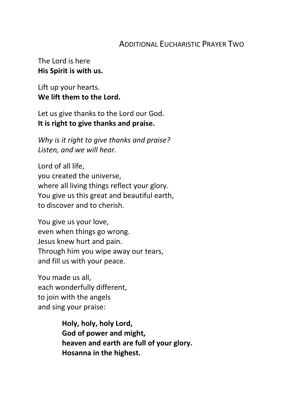# ADDITIONAL EUCHARISTIC PRAYER TWO

The Lord is here **His Spirit is with us.**

Lift up your hearts. **We lift them to the Lord.**

Let us give thanks to the Lord our God. **It is right to give thanks and praise.**

*Why is it right to give thanks and praise? Listen, and we will hear.*

Lord of all life, you created the universe, where all living things reflect your glory. You give us this great and beautiful earth, to discover and to cherish.

You give us your love, even when things go wrong. Jesus knew hurt and pain. Through him you wipe away our tears, and fill us with your peace.

You made us all, each wonderfully different, to join with the angels and sing your praise:

> **Holy, holy, holy Lord, God of power and might, heaven and earth are full of your glory. Hosanna in the highest.**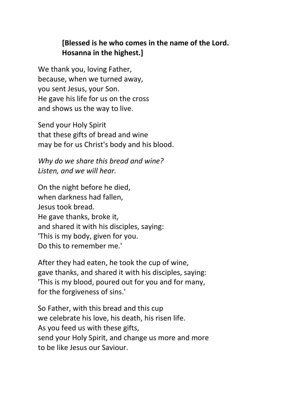# **[Blessed is he who comes in the name of the Lord. Hosanna in the highest.]**

We thank you, loving Father, because, when we turned away, you sent Jesus, your Son. He gave his life for us on the cross and shows us the way to live.

Send your Holy Spirit that these gifts of bread and wine may be for us Christ's body and his blood.

*Why do we share this bread and wine? Listen, and we will hear.*

On the night before he died, when darkness had fallen, Jesus took bread. He gave thanks, broke it, and shared it with his disciples, saying: 'This is my body, given for you. Do this to remember me.'

After they had eaten, he took the cup of wine, gave thanks, and shared it with his disciples, saying: 'This is my blood, poured out for you and for many, for the forgiveness of sins.'

So Father, with this bread and this cup we celebrate his love, his death, his risen life. As you feed us with these gifts, send your Holy Spirit, and change us more and more to be like Jesus our Saviour.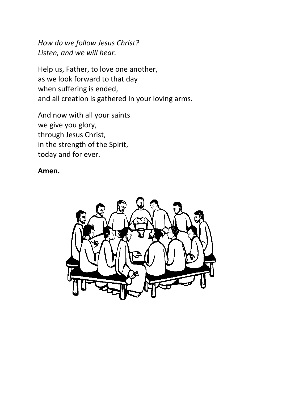*How do we follow Jesus Christ? Listen, and we will hear.*

Help us, Father, to love one another, as we look forward to that day when suffering is ended, and all creation is gathered in your loving arms.

And now with all your saints we give you glory, through Jesus Christ, in the strength of the Spirit, today and for ever.

#### **Amen.**

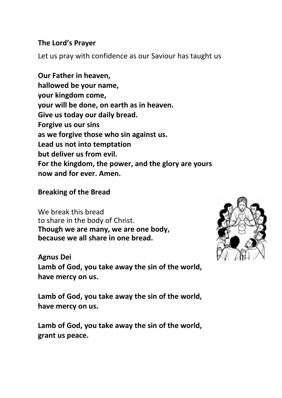#### **The Lord's Prayer**

Let us pray with confidence as our Saviour has taught us

**Our Father in heaven, hallowed be your name, your kingdom come, your will be done, on earth as in heaven. Give us today our daily bread. Forgive us our sins as we forgive those who sin against us. Lead us not into temptation but deliver us from evil. For the kingdom, the power, and the glory are yours now and for ever. Amen.**

#### **Breaking of the Bread**

We break this bread to share in the body of Christ. **Though we are many, we are one body, because we all share in one bread.**



**Agnus Dei Lamb of God, you take away the sin of the world, have mercy on us.**

**Lamb of God, you take away the sin of the world, have mercy on us.**

**Lamb of God, you take away the sin of the world, grant us peace.**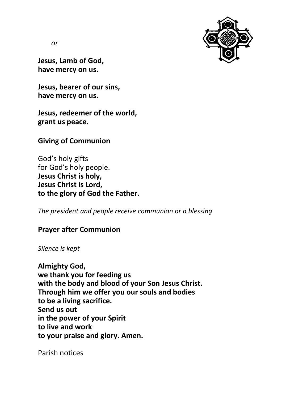

*or*

**Jesus, Lamb of God, have mercy on us.**

**Jesus, bearer of our sins, have mercy on us.**

**Jesus, redeemer of the world, grant us peace.**

**Giving of Communion**

God's holy gifts for God's holy people. **Jesus Christ is holy, Jesus Christ is Lord, to the glory of God the Father.**

*The president and people receive communion or a blessing*

## **Prayer after Communion**

*Silence is kept*

**Almighty God, we thank you for feeding us with the body and blood of your Son Jesus Christ. Through him we offer you our souls and bodies to be a living sacrifice. Send us out in the power of your Spirit to live and work to your praise and glory. Amen.**

Parish notices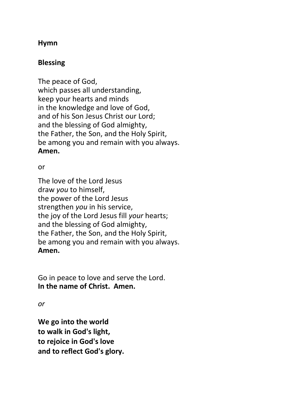## **Hymn**

# **Blessing**

The peace of God, which passes all understanding, keep your hearts and minds in the knowledge and love of God, and of his Son Jesus Christ our Lord; and the blessing of God almighty, the Father, the Son, and the Holy Spirit, be among you and remain with you always. **Amen.**

#### or

The love of the Lord Jesus draw *you* to himself, the power of the Lord Jesus strengthen *you* in his service, the joy of the Lord Jesus fill *your* hearts; and the blessing of God almighty, the Father, the Son, and the Holy Spirit, be among you and remain with you always. **Amen.**

Go in peace to love and serve the Lord. **In the name of Christ. Amen.**

*or*

**We go into the world to walk in God's light, to rejoice in God's love and to reflect God's glory.**